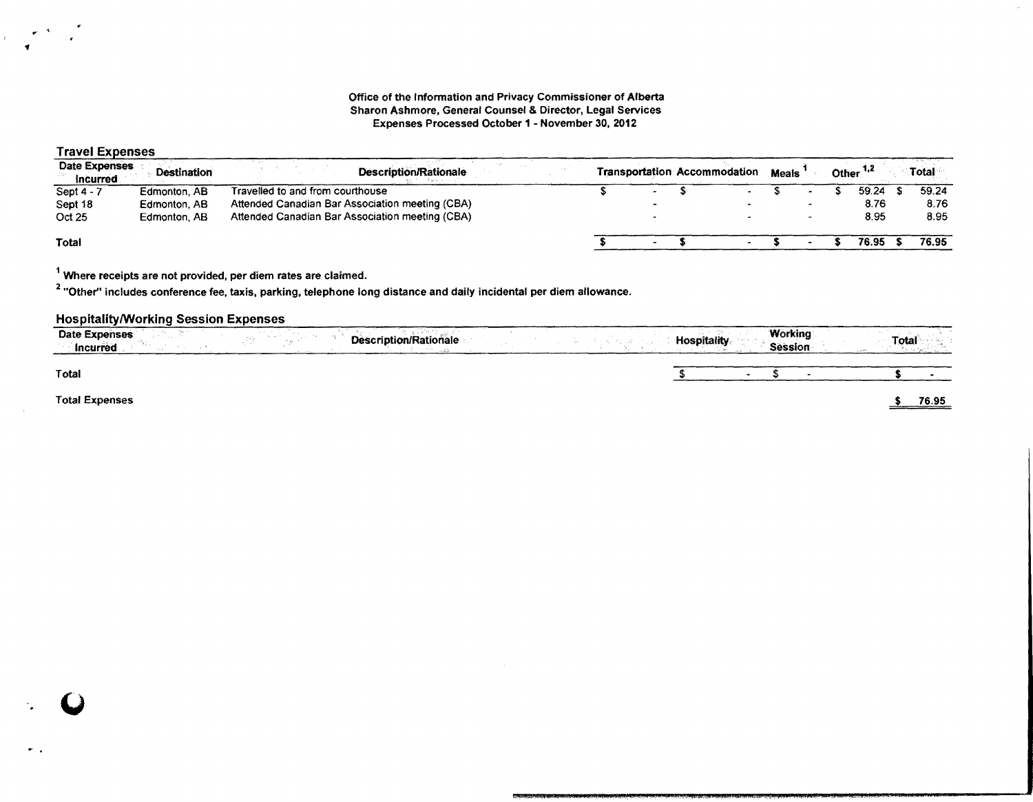#### Office of the Information and Privacy Commissioner of Alberta Sharon Ashmore, General Counsel & Director, Legal Services Expenses Processed October 1 - November 30,2012

# Travel Expenses

'f

| <b>Date Expenses</b><br>Incurred | <b>Destination</b> | <b>Description/Rationale</b>                    |  | <b>Transportation Accommodation</b> | <b>Meals</b> |  | Other <sup>1,2</sup> | Total |
|----------------------------------|--------------------|-------------------------------------------------|--|-------------------------------------|--------------|--|----------------------|-------|
| Sept $4 - 7$                     | Edmonton, AB       | Travelled to and from courthouse                |  | $\sim$                              |              |  | 59.24                | 59.24 |
| Sept 18                          | Edmonton, AB       | Attended Canadian Bar Association meeting (CBA) |  |                                     |              |  | 8.76                 | 8.76  |
| Oct 25                           | Edmonton, AB       | Attended Canadian Bar Association meeting (CBA) |  |                                     |              |  | 8.95                 | 8.95  |
| Total                            |                    |                                                 |  |                                     |              |  | 76.95                | 76.95 |

1 Where receipts are not provided, per diem rates are claimed.

 $^{\text{2}}$  "Other" includes conference fee, taxis, parking, telephone long distance and daily incidental per diem allowance.

## HospitalitylWorking Session Expenses

| <b>Date Expenses</b><br>Description/Rationale<br>Incurred | <b>Working</b><br>Total<br><b>Hospitality</b><br><b>Session</b> |
|-----------------------------------------------------------|-----------------------------------------------------------------|
| <b>Total</b>                                              |                                                                 |
| <b>Total Expenses</b>                                     | 76.95                                                           |

 $\begin{bmatrix} 0 \\ 1 \end{bmatrix}$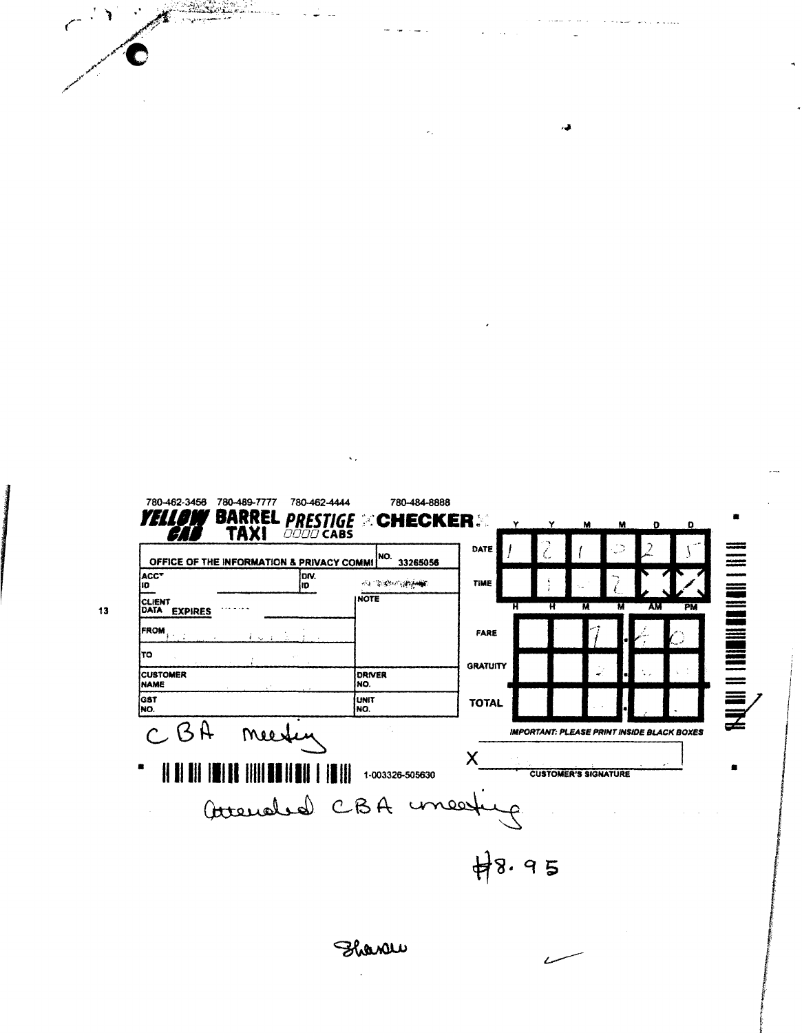780-462-3456 780-489-7777 780-462-4444 780-484-8888 **BARREL PRESTIGE**<br>TAXI 0000 CABS YHIOI **EXCHECKER** DATE **NATHER IN THE REAL PROPERTY.** OFFICE OF THE INFORMATION & PRIVACY COMMI<sup>NO</sup>. 33265056  $ACC$ <sup>T</sup>  $\sqrt{\frac{D}{D}}$ **会 想像的感觉** TIME INOTE CLIENT<br>DATA EXPIRES PM Ñ AM FROM FARE τo **GRATUITY** DRIVER<br>NO. CUSTOMER MAME GST<br>NO. **UNIT TOTAL** NO.  $BA$  $\overline{C}$ **IMPORTANT: PLEASE PRINT INSIDE BLACK BOXES** mees X  $\parallel$  $\| \mathbf{I} \|$ 1-003326-505630 **CUSTOMER'S SIGNATURE** Avenaled CBA unear  $\widetilde{\mathcal{A}}$  $48.95$ France

 $\bar{\zeta}$  ,

ل عباس **A consideration of the Second** 

 $\overline{\mathcal{A}}$ 

٧ **Analyze** 

 $13$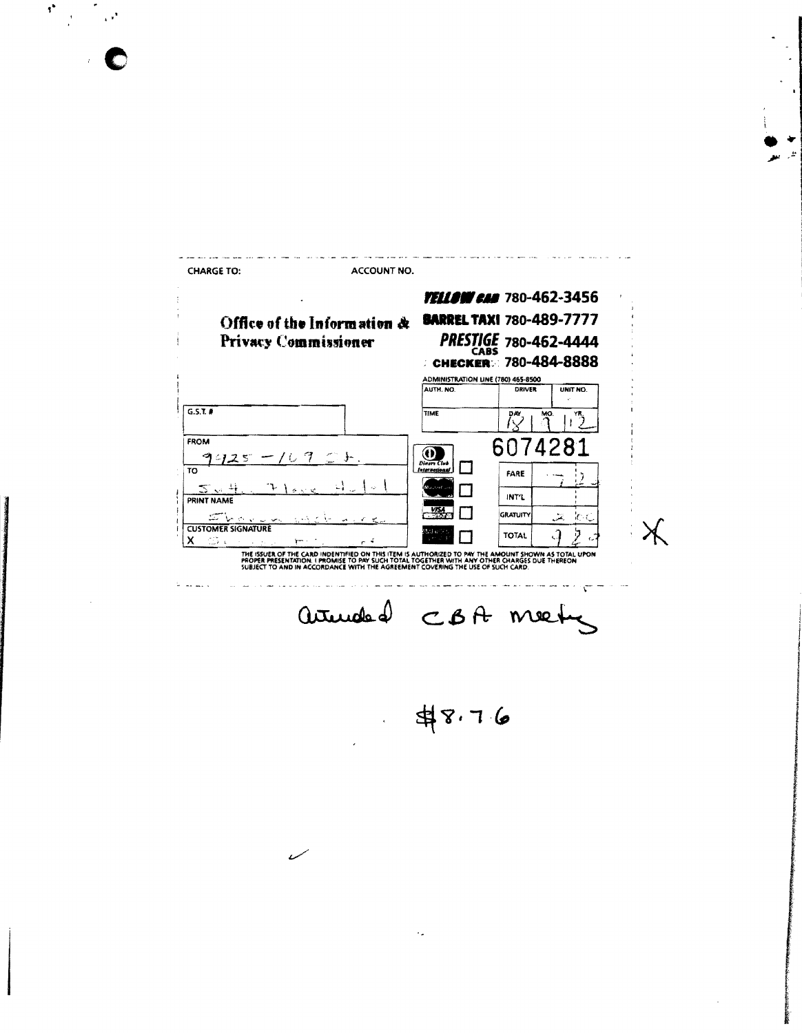| <b>CHARGE TO:</b>         | <b>ACCOUNT NO.</b>          |                                     |                       |             |
|---------------------------|-----------------------------|-------------------------------------|-----------------------|-------------|
|                           |                             | <b>TELLOW CAN</b> 780-462-3456      |                       |             |
|                           | Office of the Information & | <b>BARREL TAXI 780-489-7777</b>     |                       |             |
|                           | <b>Privacy Commissioner</b> |                                     | PRESTIGE 780-462-4444 |             |
|                           |                             | <b>CHECKER: 780-484-8888</b>        |                       |             |
|                           |                             | ADMINISTRATION LINE (780) 465-8500  |                       |             |
|                           |                             | AUTH, NO.                           | DRIVER                | UNIT NO.    |
| G.S.T.                    |                             | TIME                                | MO.<br>DAY            | YR.         |
| <b>FROM</b>               |                             |                                     | 6074281               |             |
| 425                       | 一/ひ7 〇十.                    |                                     |                       |             |
| TO                        |                             | <b>Diners Club</b><br>International | FARE                  |             |
| 5. . 4                    |                             |                                     |                       |             |
| PRINT NAME                |                             |                                     | INT'L                 |             |
|                           |                             |                                     | <b>GRATUITY</b>       | ЮC<br>يتقور |
| <b>CUSTOMER SIGNATURE</b> |                             |                                     | <b>TOTAL</b>          |             |
| х<br>15 x                 |                             |                                     |                       |             |

 $\boldsymbol{\theta}^{\star}$ 

C

armeded CBA meeting

 $48.76$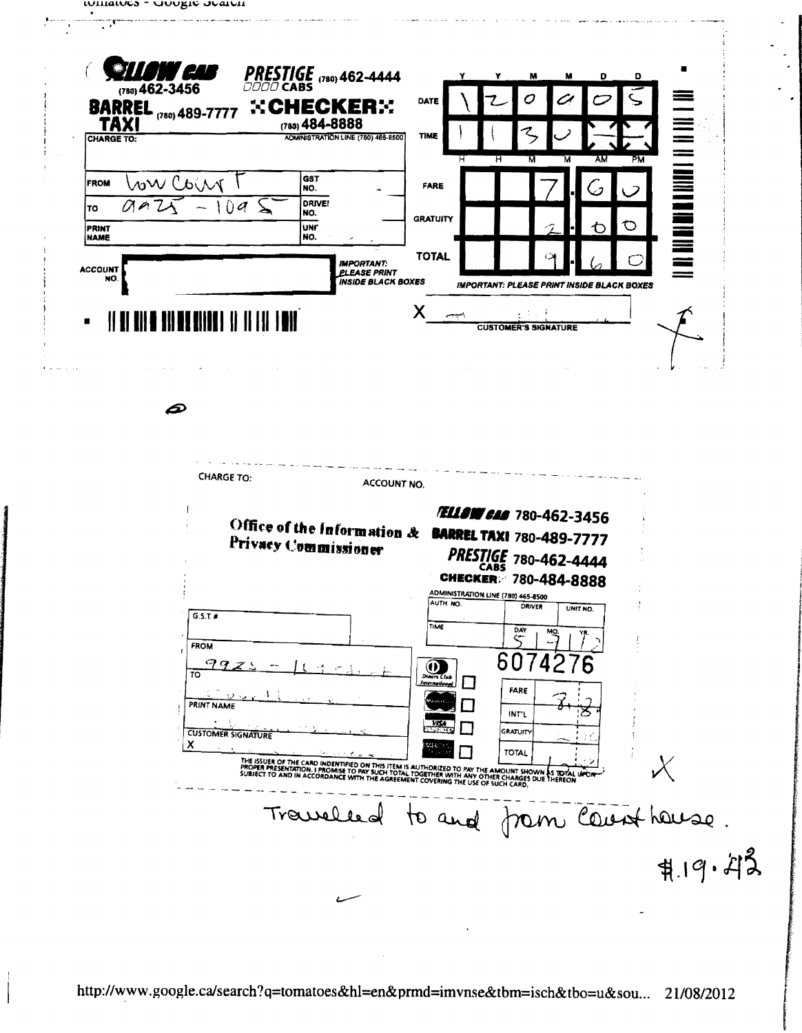

P



http://www.google.ca/search?q=tomatoes&hl=en&prmd=imvnse&tbm=isch&tbo=u&sou... 21/08/2012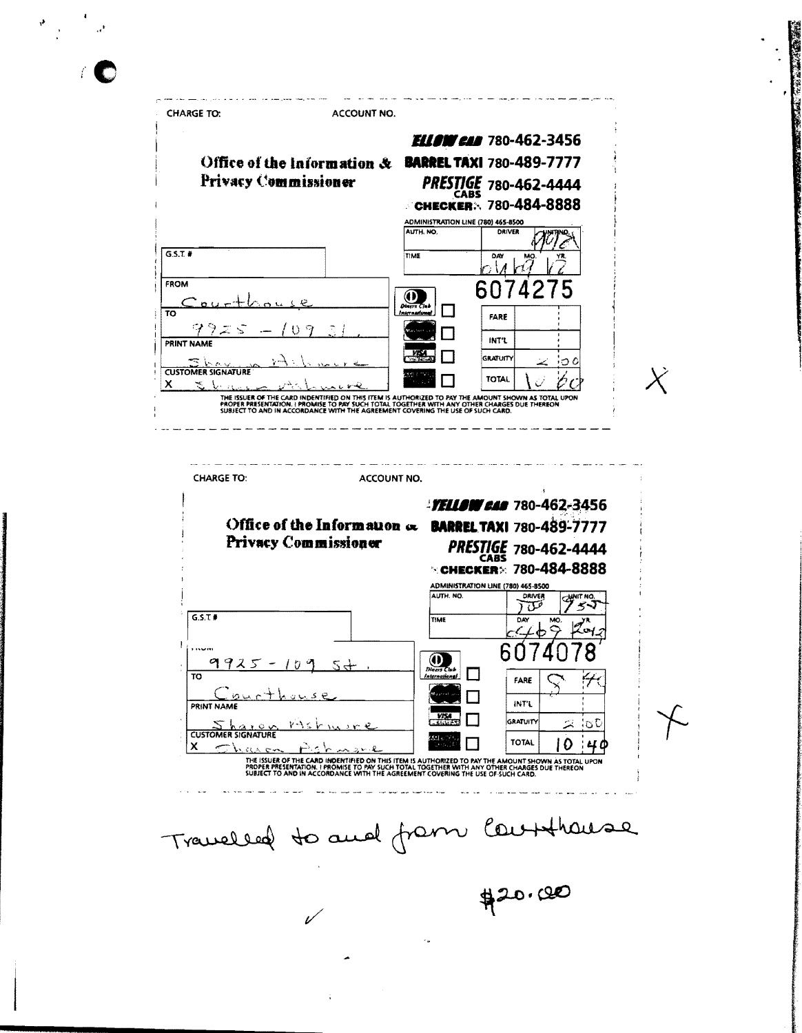**CHARGE TO: ACCOUNT NO. ELLOW CAN** 780-462-3456 Office of the Information & BARREL TAXI 780-489-7777 Privacy Commissioner PRESTIGE 780-462-4444 CHECKER: 780-484-8888 ADMINISTRATION LINE (780) 465-8500 AUTH, NO. DRIVER  $G.S.T$  # TIME DAY FROM 6074  $^{\circ}$  $\overline{\text{to}}$ FARE INT'L **PRINT NAME GRATUITY** ြင **CUSTOMER SIGNATURE TOTAL**  $\pmb{\times}$ 芝 THE ISSUER OF THE CARD INDENTIFIED ON THIS ITEM IS AUTHORIZED TO PAY THE<br>PROPER PRESENTATION, I PROMISE TO PAY SUCH TOTAL TOGETHER WITH ANY OTH<br>SUBJECT TO AND IN ACCORDANCE WITH THE AGREEMENT COVERING THE USE OF IN AS TOTAL UPON<br>JE THEREON **MOUNT5** HER CHARGES<br>SUCH CARD. --------**CHARGE TO:** ACCOUNT NO. **FELLOW CAR** 780-462-3456 Office of the Information & BARREL TAXI 780-489-7777 Privacy Commissioner **PRESTIGE 780-462-4444 CHECKER** 780-484-8888 **ADMINISTRATION LINE (780)** 465-8500 AUTH. NO. DRIVER فتلآ ぢ  $G.S.T$ TIME 6  $\cup$  $\circledcirc$ 99  $\Box$  $\overline{\overline{\text{TO}}}$ FARE **INT'L** PRINT NAME GRATUITY lo C レベイ CUSTOMER SIGNATURE **TOTAL** 10 4 d  $\mathbf x$ THE ISSUER OF THE CARD INDENTIFIED ON THIS ITEM IS AUTHORIZED TO PAY THE AMOUNT SHOWN AS TOTAL UPON<br>PROPER PRESENTATION. I PROMISE TO PAY SUCH TOTAL TOGETHER WITH ANY OTHER CHARGES DUE THEREON<br>SUBJECT TO AND IN ACCORDANCE Travelled to and from Courthouse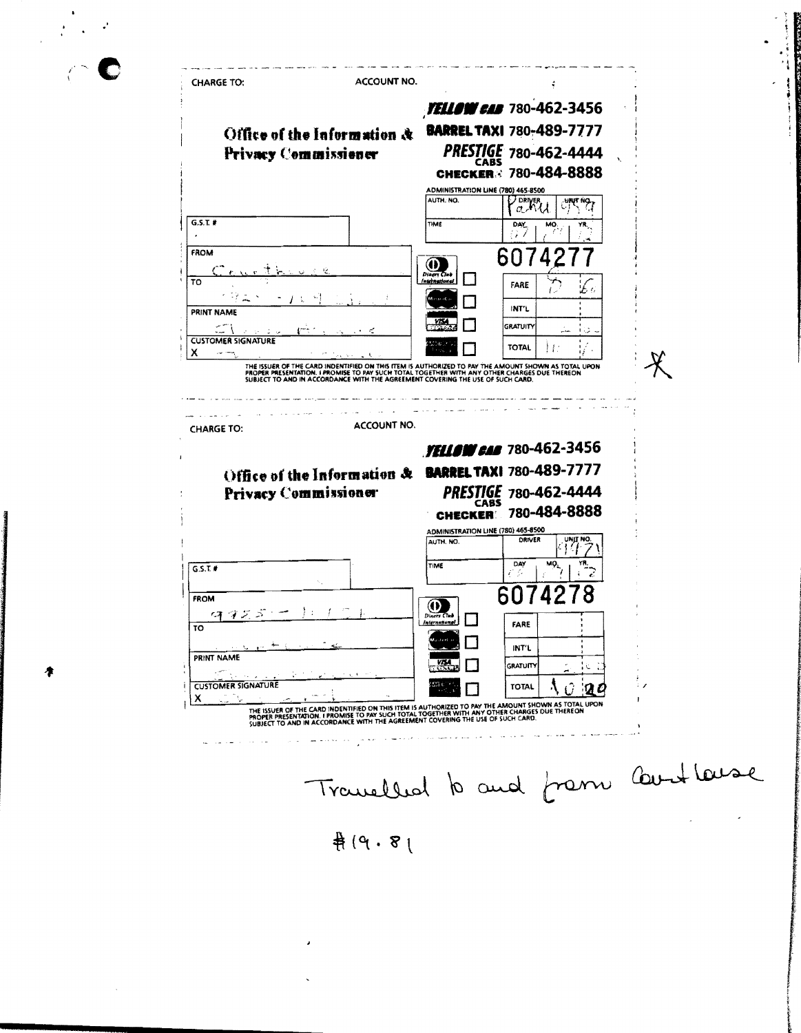ACCOUNT NO. **CHARGE TO: YELLOW CAB** 780-462-3456 **BARREL TAXI 780-489-7777** Office of the Information & Privacy Commissioner PRESTIGE 780-462-4444 **CABS CHECKER** 780-484-8888 ADMINISTRATION LINE (780) 465-8500 AUTH. NO. PORTER  $\overline{C_1^{\text{H}}C_2^{\text{H}}C_3^{\text{H}}C_4^{\text{H}}}$  $G.S.T.$ # TIME **DAY** () / FROM 607  $^\circledR$  $\overline{\tau}$ FARE **INT'L PRINT NAME** وللسرب **GRATUITY CUSTOMER SIGNATURE TOTAL** ÌΕ  $\boldsymbol{\mathsf{x}}$ ماست بيار  $\mathcal{\cancel{X}}$ THE ISSUER OF THE CARD INDENTIFIED ON THIS ITEM IS AUTHORIZED TO PAY THE AMOUNT SHOWN AS TOTAL UPON<br>PROPER PRESENTATION. I PROMISE TO PAY SUCH TOTAL I DIGETHER WITH ANY OTHER CHARGES DUE THEREON<br>SUBJECT TO AND IN ACCORDANC  $\mathbf{1}$ ACCOUNT NO. **CHARGE TO: YELLOW CAN** 780-462-3456 Office of the Information & BARREL TAXI 780-489-7777 PRESTIGE 780-462-4444 Privacy Commissioner 780-484-8888 **CHECKER! ADMINISTRATION LINE (780) 465-8500 DRIVER** AUTH. NO. NO 4  $\frac{1}{\sqrt{10}}$  $\overline{MQ}_{L}$ TIME DAY  $G.S.T$ 8 607 Δ FROM  $\overline{\mathbf{O}}$  $\Box$ FARE  $\overline{10}$ П INT'L PRINT NAME  $\frac{1}{2}$ **GRATUIT** Λċ. **CUSTOMER SIGNATURE TOTAL** A  $\Omega$  $20$ X THE ISSUER OF THE CARD INDENTIFIED ON THIS ITEM IS AUTHORIZED TO PAY THE AMOUNT SHOWN AS TOTAL UPON PROPER THE CARD INDENTIFIED ON THIS ITEM IS AUTHORIZED TO PAY THE AMOUNT SHOWN AS TOTAL UPON PROPER PRESENTATION. I PROMIS Travelled to and from Countleuse  $4(9.8)$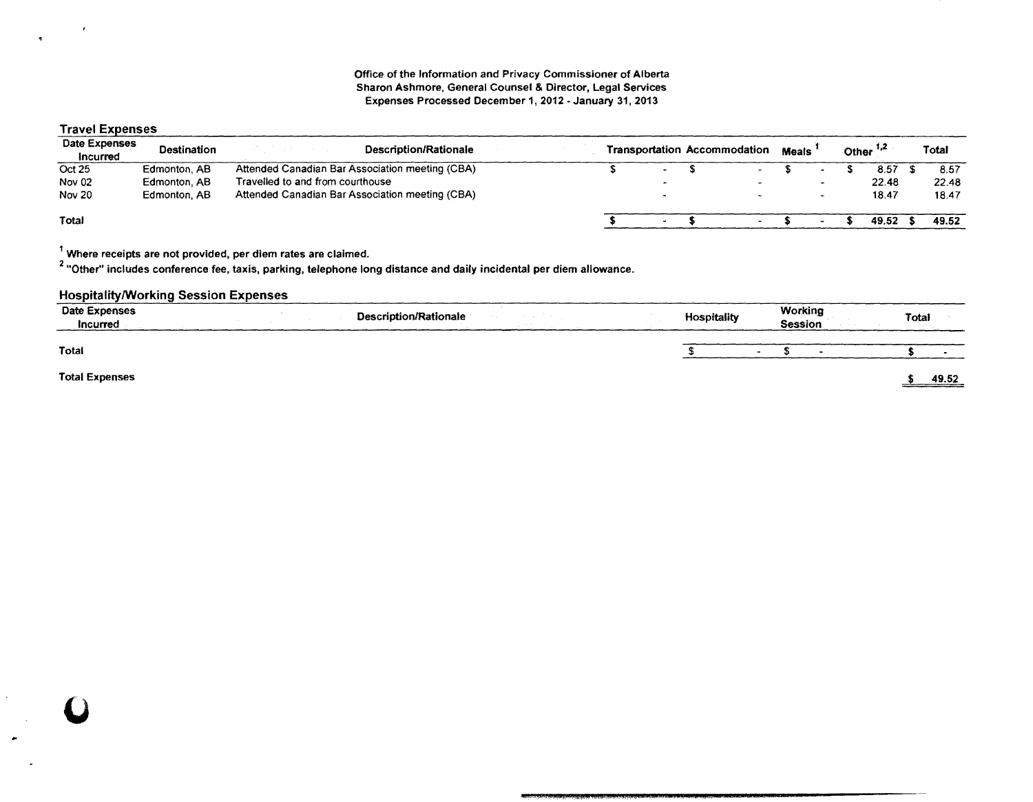## Travel Expenses

 $\mathbf{r}$ 

 $\tilde{\mathbf{x}}$ 

 $\overline{\mathbf{v}}$ 

| Date Expenses<br>Incurred | <b>Destination</b> | Description/Rationale                           |                          | <b>Transportation Accommodation</b> | <b>Meals</b> |  | Other $1,2$ | Total |
|---------------------------|--------------------|-------------------------------------------------|--------------------------|-------------------------------------|--------------|--|-------------|-------|
| Oct 25                    | Edmonton, AB       | Attended Canadian Bar Association meeting (CBA) | $\overline{\phantom{a}}$ | $\sim$                              |              |  | 8.57        | 8.57  |
| <b>Nov 02</b>             | Edmonton, AB       | Travelled to and from courthouse                |                          |                                     |              |  | 22.48       | 22.48 |
| Nov 20                    | Edmonton, AB       | Attended Canadian Bar Association meeting (CBA) |                          |                                     |              |  | 18.47       | 18.47 |
| Total                     |                    |                                                 |                          | $\bullet$                           |              |  | 49.52       | 49.52 |

1 Where receipts are not provided, per diem rates are claimed.

2 "Other" includes conference fee, taxis, parking, telephone long distance and daily incidental per diem allowance.

#### HospitalitylWorking Session Expenses

| <b>Date Expenses</b><br><b>Incurred</b> | the control<br>Description/Rationale | <b>Hospitality</b> | Working<br>Session | Total |                                                  |  |
|-----------------------------------------|--------------------------------------|--------------------|--------------------|-------|--------------------------------------------------|--|
| Total                                   |                                      | - 11               |                    |       |                                                  |  |
| <b>Total Expenses</b>                   |                                      |                    |                    |       | 49.52<br>and the contract of the contract of the |  |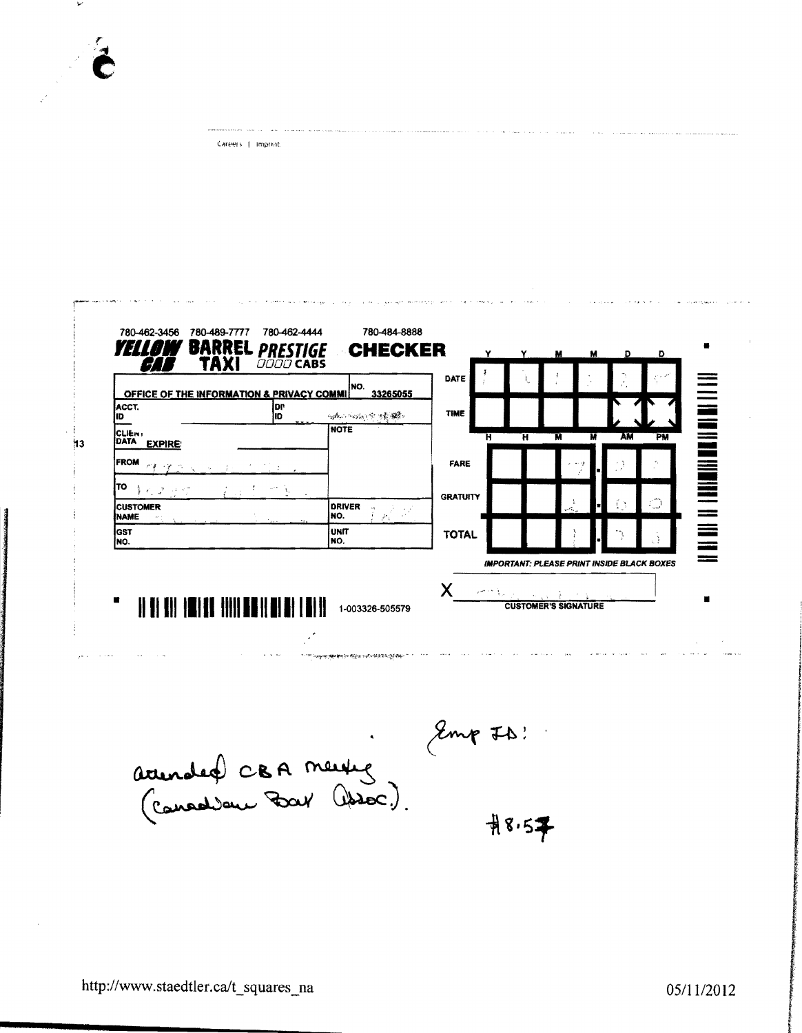| OFFICE OF THE INFORMATION & PRIVACY COMMI | INO.<br>33265055           | DATE            |                                                   |        |    |                |
|-------------------------------------------|----------------------------|-----------------|---------------------------------------------------|--------|----|----------------|
| ACCT.<br>D۴<br>ID<br>ID                   | 网络一项小组 空海静脉                | TIME            |                                                   |        |    |                |
| CLIEN.<br>DATA<br><b>EXPIRE:</b>          | NOTE                       | Ħ               | Ή                                                 | м<br>M | AM | PM             |
| <b>FROM</b><br>$\epsilon_{\rm X}$         |                            | <b>FARE</b>     |                                                   |        |    |                |
| ΙTΟ<br>童的 医中间                             |                            | <b>GRATUITY</b> |                                                   |        |    |                |
| <b>CUSTOMER</b><br><b>NAME</b>            | <b>DRIVER</b><br>INO.<br>Þ |                 |                                                   |        |    | $\binom{m}{m}$ |
| lgst<br>INO.                              | unit<br>INO.               | <b>TOTAL</b>    |                                                   |        |    |                |
|                                           |                            |                 | <b>IMPORTANT: PLEASE PRINT INSIDE BLACK BOXES</b> |        |    |                |

Emp ID ! accurated CBA meutig  $#8.57$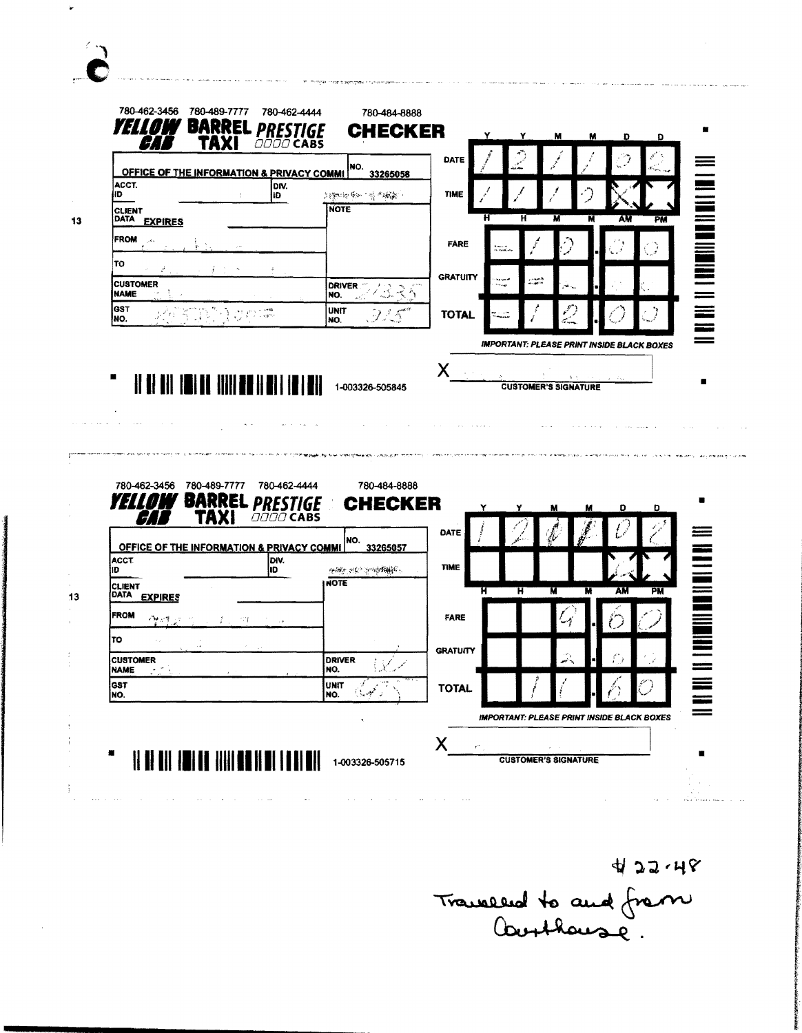| ACCT.<br>(ID                                                      |                                                 | <b>OFFICE OF THE INFORMATION &amp; PRIVACY COMMI</b><br>33265058 |                        |                             |                   |
|-------------------------------------------------------------------|-------------------------------------------------|------------------------------------------------------------------|------------------------|-----------------------------|-------------------|
| <b>CLIENT</b>                                                     | DIV.<br>łD.                                     | 21199011411年11月1日 11:48歳11<br><b>NOTE</b>                        | <b>TIME</b>            |                             |                   |
| <b>DATA</b><br><b>EXPIRES</b>                                     |                                                 |                                                                  |                        | н<br>AM                     | PM                |
| <b>FROM</b>                                                       |                                                 |                                                                  | <b>FARE</b>            |                             |                   |
| TO<br><b>CUSTOMER</b><br>$\sim 10$                                |                                                 | <b>DRIVER</b>                                                    | <b>GRATUITY</b><br>منت | rans<br>Frans               |                   |
| <b>NAME</b><br><b>GST</b><br>$\mathbb{R}^2$                       |                                                 | イムざり<br>NO.<br><b>UNIT</b><br>925                                | <b>TOTAL</b>           |                             |                   |
| NO.                                                               | $\epsilon_{\mu\nu}$                             | NO.                                                              |                        |                             |                   |
| 11 I II                                                           | 11                                              | 1-003326-505845                                                  |                        | <b>CUSTOMER'S SIGNATURE</b> |                   |
| 780-489-7777<br>780-462-3456<br><b>BARRE</b><br>YELL<br>TAXI<br>7 | 780-462-4444<br><b>PRES</b><br><b>OOOO CABS</b> | 780-484-8888<br><b>CHECKER</b>                                   |                        | D                           | в<br>Ð            |
| OFFICE OF THE INFORMATION & PRIVACY COMMI                         |                                                 | NO.<br>33265057                                                  | DATE                   |                             |                   |
| <b>ACCT</b><br>ID                                                 | loiv.<br>l1D.                                   | grades entre gregologie.                                         | <b>TIME</b>            |                             |                   |
| <b>CLIENT</b><br>DATA<br><b>EXPIRES</b>                           |                                                 | HOTE                                                             | Ή                      | ਸ<br>М<br>Ħ<br>AM           | <u>Fill</u><br>PM |
| <b>FROM</b><br>4 - 9                                              | 44.                                             |                                                                  | FARE                   |                             |                   |
| TO                                                                |                                                 |                                                                  | <b>GRATUITY</b>        |                             |                   |
| <b>CUSTOMER</b><br><b>NAME</b>                                    |                                                 | <b>DRIVER</b><br>NO.                                             |                        |                             |                   |

 $\sum_{i=1}^{n}$ 

Wanneed to and frem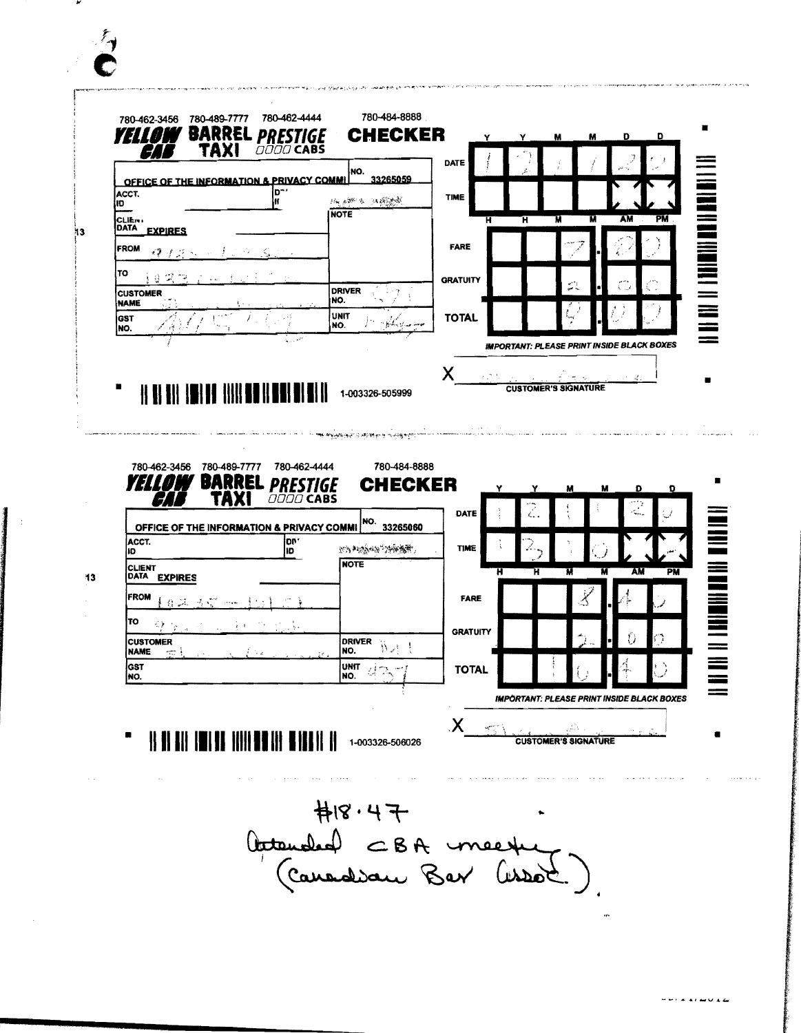| 780-489-7777<br>780-462-3456<br><b>BARREL</b><br><b>YELL!</b><br>TAXI  | 780-462-4444<br><b>PRES</b><br>GE<br><b>OOOO CABS</b> | 780-484-8888<br><b>CHECKER</b>                    | Y               | Y<br>м  | D<br>м                                            | D  |
|------------------------------------------------------------------------|-------------------------------------------------------|---------------------------------------------------|-----------------|---------|---------------------------------------------------|----|
| OFFICE OF THE INFORMATION & PRIVACY COMM                               |                                                       | NO.<br>33265059                                   | DATE            |         |                                                   |    |
| ACCT.<br>ID.                                                           | י"ם<br>ĸ                                              | 法通知 大 法病理<br><b>NOTE</b>                          | <b>TIME</b>     |         |                                                   |    |
| CLIErs<br><b>DATA</b><br><b>EXPIRES</b>                                |                                                       |                                                   | H               | Ή<br>'N | AM                                                | PM |
| <b>FROM</b><br>ゆうクトー                                                   |                                                       |                                                   | <b>FARE</b>     |         |                                                   |    |
| TO<br><b>CUSTOMER</b>                                                  |                                                       | <b>DRIVER</b>                                     | <b>GRATUITY</b> |         |                                                   |    |
| <b>NAME</b><br>lgst                                                    |                                                       | NO.<br><b>UNIT</b>                                | <b>TOTAL</b>    |         |                                                   |    |
| INO.                                                                   |                                                       | NO.                                               |                 |         | <b>IMPORTANT: PLEASE PRINT INSIDE BLACK BOXES</b> |    |
|                                                                        |                                                       |                                                   | Χ               |         |                                                   |    |
| 780-489-7777<br>780-462-3456                                           | 780-462-4444                                          | 1-003326-505999<br>VANGARIA METER<br>780-484-8888 |                 |         |                                                   |    |
| <b>BARRE</b><br>177<br>ТД<br>OFFICE OF THE INFORMATION & PRIVACY COMMI | <b>PRESTIGE</b><br><b>OOOO CABS</b>                   | <b>CHECKER</b>                                    | DATE            | ٤.,     | D                                                 | Ð  |
| ACCT.<br>ID.                                                           | lon *<br>ID.                                          | NO. 33265060<br>FAMAN HONT                        | <b>TIME</b>     |         |                                                   |    |
| <b>CLIENT</b><br>DATA EXPIRES                                          |                                                       | <b>NOTE</b>                                       | н               | Μ<br>ਸ  | AM                                                | PM |
| <b>FROM</b><br>22. J.N.                                                |                                                       |                                                   | <b>FARE</b>     |         |                                                   |    |
| TO<br><b>CUSTOMER</b>                                                  |                                                       |                                                   | <b>GRATUITY</b> |         |                                                   |    |
| <b>NAME</b><br>微毛<br>get al.<br>$\sim 20$<br><b>GST</b><br>NO.         | f ika<br>t'e.                                         | DRIVER WALL<br><b>UNIT</b><br>경호 기<br>NO.         | <b>TOTAL</b>    |         |                                                   |    |
|                                                                        |                                                       |                                                   |                 |         | <b>IMPORTANT: PLEASE PRINT INSIDE BLACK BOXES</b> |    |
| <u>HAIHITHIN HIIHITHI</u>                                              |                                                       | I II II                                           | Х               |         |                                                   |    |

 $\mathcal{F}_{\mathbf{y}}$ 

H18.47<br>Actempted CBA meeting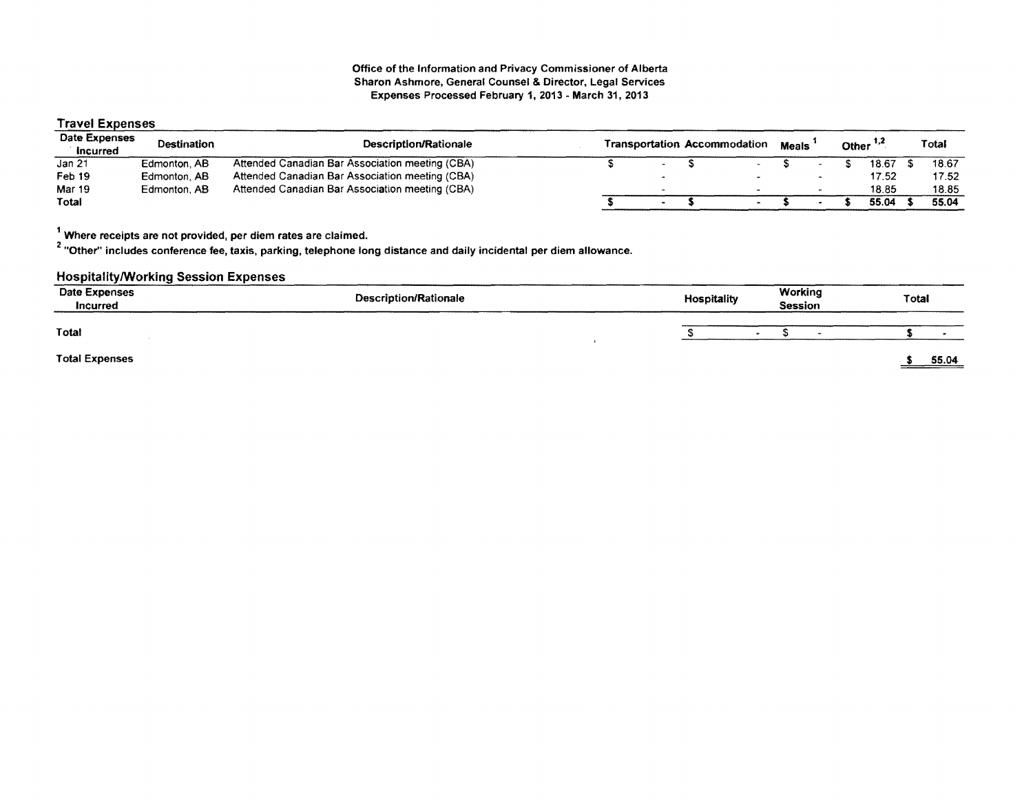#### Office of the Information and Privacy Commissioner of Alberta Sharon Ashmore, General Counsel & Director, Legal Services Expenses Processed February 1,2013 - March 31,2013

# Travel Expenses

| Date Expenses<br>Incurred | Destination  | Description/Rationale                           |  | <b>Transportation Accommodation</b> | <b>Meals</b> |  | Other $1,2$ | Total |
|---------------------------|--------------|-------------------------------------------------|--|-------------------------------------|--------------|--|-------------|-------|
| Jan 21                    | Edmonton, AB | Attended Canadian Bar Association meeting (CBA) |  |                                     |              |  | 18.67       | 18.67 |
| Feb 19                    | Edmonton, AB | Attended Canadian Bar Association meeting (CBA) |  |                                     |              |  | 17.52       | 17.52 |
| Mar 19                    | Edmonton, AB | Attended Canadian Bar Association meeting (CBA) |  |                                     |              |  | 18.85       | 18.85 |
| Total                     |              |                                                 |  |                                     |              |  | 55.04       | 55.04 |

1 Where receipts are not provided, per diem rates are claimed.

2 "Other" includes conference fee, taxis, parking, telephone long distance and daily incidental per diem allowance.

# HospitalitylWorking Session Expenses

| Date Expenses<br>Incurred | <b>Description/Rationale</b> | Hospitality | Working<br><b>Session</b> | Total |
|---------------------------|------------------------------|-------------|---------------------------|-------|
| Total                     |                              |             | $\sim$                    |       |
| <b>Total Expenses</b>     |                              |             |                           | 55.04 |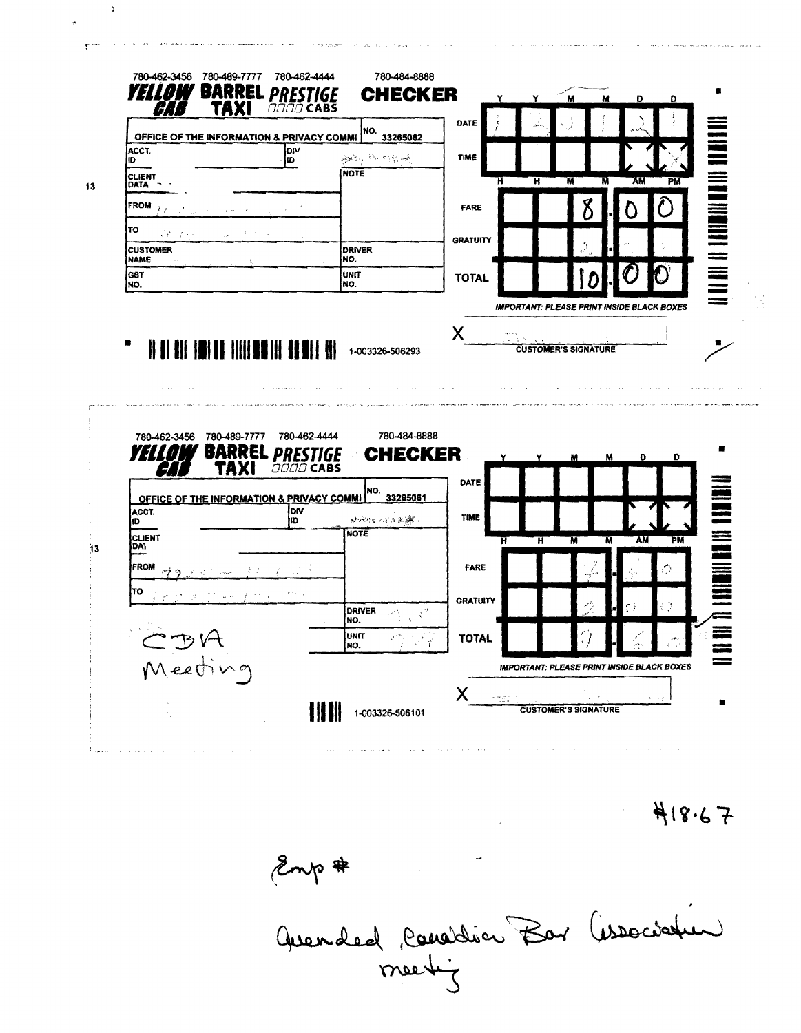|                                         | OFFICE OF THE INFORMATION & PRIVACY COMMI                      | NO.<br>33265062                                | DATE                      |                                                   |                 |
|-----------------------------------------|----------------------------------------------------------------|------------------------------------------------|---------------------------|---------------------------------------------------|-----------------|
| ACCT.<br>ID                             | lol∿<br>HD.                                                    | 网络山 经一个税 碱                                     | <b>TIME</b>               |                                                   |                 |
| <b>CLIENT</b><br><b>DATA</b>            |                                                                | <b>NOTE</b>                                    | Ή                         | ਸ<br>π<br>м                                       | AM<br><b>PM</b> |
| <b>FROM</b>                             |                                                                |                                                | FARE                      |                                                   |                 |
| TO                                      |                                                                |                                                | <b>GRATUITY</b>           |                                                   |                 |
| <b>CUSTOMER</b><br><b>NAME</b><br>د مہ  |                                                                | <b>DRIVER</b><br>NO.                           |                           |                                                   |                 |
| <b>GST</b><br>NO.                       |                                                                | <b>UNIT</b><br>NO.                             | <b>TOTAL</b>              |                                                   |                 |
|                                         |                                                                |                                                |                           | <b>IMPORTANT: PLEASE PRINT INSIDE BLACK BOXES</b> |                 |
|                                         |                                                                |                                                | Χ                         |                                                   |                 |
|                                         |                                                                | 1-003326-506293                                |                           | <b>CUSTOMER'S SIGNATURE</b>                       |                 |
|                                         |                                                                |                                                |                           |                                                   |                 |
| 780-462-3456 780-489-7777<br><b>YEL</b> | <b>BARRE</b><br><b>PREST</b><br>TAX<br><i><b>OOOO CABS</b></i> | 780-484-8888<br>780-462-4444<br><b>CHECKER</b> | DATE                      | Y<br>м<br>M                                       | D<br>Ð          |
|                                         | OFFICE OF THE INFORMATION & PRIVACY COMMI                      | NO.<br>33265061                                |                           |                                                   |                 |
| ACCT.<br>ID                             | DIV<br>IЮ.                                                     | 经增加的过去式模式                                      | TIME                      |                                                   |                 |
| CLIENT<br>DA.                           |                                                                | <b>NOTE</b>                                    | Ħ                         | Ħ<br>н                                            | AM<br>PM        |
| <b>FROM</b>                             |                                                                |                                                | FARE                      |                                                   | D               |
| TO                                      |                                                                |                                                | <b>GRATUITY</b>           |                                                   |                 |
|                                         |                                                                | <b>DRIVER</b><br>$\zeta^9$<br>NO.              |                           |                                                   | Ø               |
|                                         |                                                                | UNIT<br>NO.                                    | <b>TOTAL</b><br>$\vec{r}$ |                                                   |                 |
| Meeting                                 |                                                                |                                                |                           | <b>IMPORTANT: PLEASE PRINT INSIDE BLACK BOXES</b> |                 |

 $\bar{z}$ 

 $\ddot{\phantom{1}}$ 

418.67

Emp#<br>Quended Considér Bar (issociation

 $\mathcal{L}^{\text{max}}_{\text{max}}$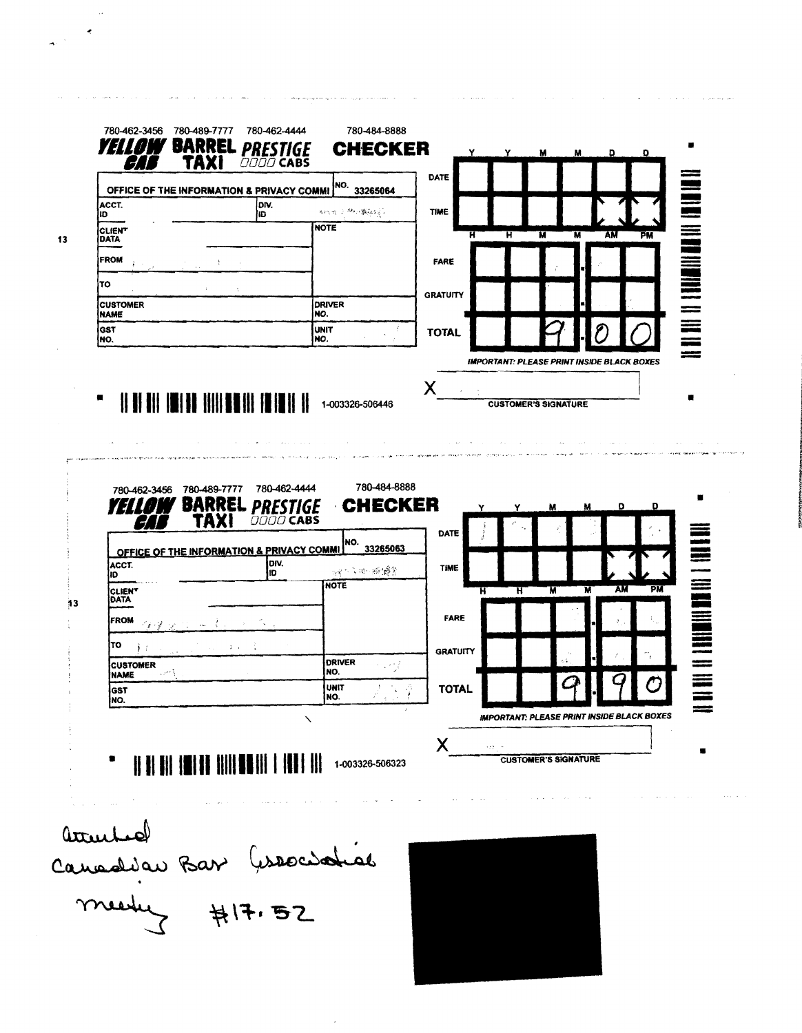|                                | OFFICE OF THE INFORMATION & PRIVACY COMMI              |                       |                     | NO.                                     | 33265064                       |                     |                                                   |                             |         |                                                   |                          |
|--------------------------------|--------------------------------------------------------|-----------------------|---------------------|-----------------------------------------|--------------------------------|---------------------|---------------------------------------------------|-----------------------------|---------|---------------------------------------------------|--------------------------|
| ACCT.<br>ID                    |                                                        | lorv.<br>ID.          |                     | 法代偿 三布纳 數數据                             |                                | <b>TIME</b>         |                                                   |                             |         |                                                   | $\equiv$                 |
| <b>CLIENT</b><br><b>DATA</b>   |                                                        |                       | <b>NOTE</b>         |                                         |                                | ਸ                   | म                                                 | $\overline{\mathbf{M}}$     | AM<br>М | PM                                                |                          |
| <b>FROM</b>                    |                                                        |                       |                     |                                         |                                | <b>FARE</b>         |                                                   |                             |         |                                                   |                          |
| TO                             |                                                        |                       |                     |                                         |                                |                     |                                                   |                             |         |                                                   |                          |
| <b>CUSTOMER</b><br><b>NAME</b> |                                                        |                       | NO.                 | <b>DRIVER</b>                           |                                | <b>GRATUITY</b>     |                                                   |                             |         |                                                   |                          |
| GST<br>NO.                     |                                                        |                       | <b>UNIT</b><br>INO. |                                         |                                | <b>TOTAL</b>        |                                                   |                             |         |                                                   |                          |
| ٠                              | <u>                                      </u>          |                       |                     | 1-003326-506446                         |                                | Χ                   | <b>IMPORTANT: PLEASE PRINT INSIDE BLACK BOXES</b> | <b>CUSTOMER'S SIGNATURE</b> |         |                                                   |                          |
|                                |                                                        |                       |                     |                                         |                                |                     |                                                   |                             |         |                                                   |                          |
|                                | 780-489-7777<br>780-462-3456<br><b>BARRE</b>           |                       | 780-462-4444<br>IGE |                                         | 780-484-8888<br><b>CHECKER</b> |                     |                                                   | м                           | M       | D<br>Ð                                            | П                        |
| ACCT.                          | TAXI<br>4<br>OFFICE OF THE INFORMATION & PRIVACY COMMI | <b>PRESTI</b><br>DIV. | <b>DOOD CABS</b>    | NO.                                     | 33265063                       | DATE<br><b>TIME</b> |                                                   |                             |         |                                                   |                          |
| ID.<br><b>CLIENT</b>           |                                                        | ID                    |                     | <b>New Side 100 1998</b><br><b>NOTE</b> |                                |                     | π<br>ਸ                                            | M                           | N       | PM<br>AM                                          |                          |
| DATA<br><b>FROM</b>            |                                                        |                       |                     |                                         |                                | FARE                |                                                   |                             |         |                                                   |                          |
|                                | $\leq$ $\epsilon$ $\leq$                               |                       |                     |                                         |                                |                     |                                                   |                             |         |                                                   |                          |
| TO<br><b>CUSTOMER</b>          |                                                        |                       |                     | <b>DRIVER</b>                           | чŊ                             | <b>GRATUITY</b>     |                                                   |                             |         |                                                   | <b>THE REAL PROPERTY</b> |
| <b>NAME</b><br><b>GST</b>      | - 2008                                                 |                       |                     | NO.<br>UNIT<br>INO.                     | $\frac{3}{2}$                  | <b>TOTAL</b>        |                                                   |                             |         | ŋ                                                 | $\equiv$                 |
| INO.                           |                                                        |                       | $\checkmark$        |                                         | $\lambda$                      | Χ                   | $\alpha \neq \beta \in \mathbb{N}$                |                             |         | <b>IMPORTANT: PLEASE PRINT INSIDE BLACK BOXES</b> |                          |
|                                | <b>HII III III III IIII III</b>                        |                       |                     | 1-003326-506323                         |                                | contact the second  |                                                   | <b>CUSTOMER'S SIGNATURE</b> |         |                                                   |                          |

 $\hat{\mathcal{L}}$ 

a <mark>ny mpyoso na mpyambana a</mark>o amin'ny faritr'i Normandie, ao amin'ny faritr'i Normandie, ao amin'ny faritr'i Normandie

 $\sigma^{(1)}$ 

 $\sim$ 

 $\mathcal{A}$  , and  $\mathcal{A}$  is a set of the set of  $\mathcal{A}$  , and  $\mathcal{A}$ 

التقارب والمراويات والرابط فالمرار

 $\sim$